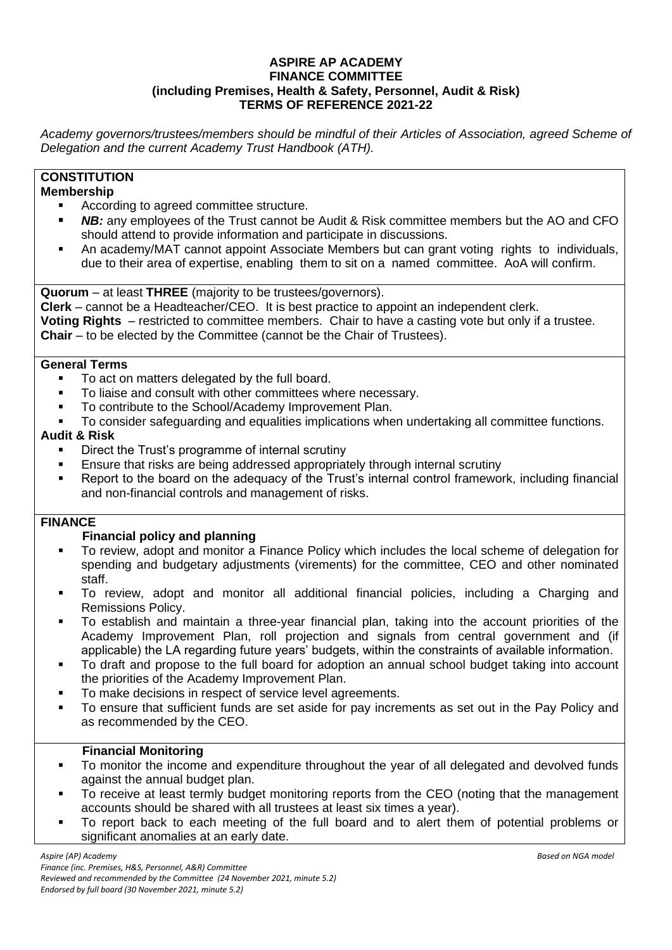#### **ASPIRE AP ACADEMY FINANCE COMMITTEE (including Premises, Health & Safety, Personnel, Audit & Risk) TERMS OF REFERENCE 2021-22**

*Academy governors/trustees/members should be mindful of their Articles of Association, agreed Scheme of Delegation and the current Academy Trust Handbook (ATH).*

# **CONSTITUTION**

## **Membership**

- According to agreed committee structure.
- **NB:** any employees of the Trust cannot be Audit & Risk committee members but the AO and CFO should attend to provide information and participate in discussions.
- An academy/MAT cannot appoint Associate Members but can grant voting rights to individuals, due to their area of expertise, enabling them to sit on a named committee. AoA will confirm.

**Quorum** – at least **THREE** (majority to be trustees/governors).

**Clerk** – cannot be a Headteacher/CEO. It is best practice to appoint an independent clerk.

**Voting Rights** – restricted to committee members. Chair to have a casting vote but only if a trustee. **Chair** – to be elected by the Committee (cannot be the Chair of Trustees).

#### **General Terms**

- To act on matters delegated by the full board.
- To liaise and consult with other committees where necessary.
- To contribute to the School/Academy Improvement Plan.
- To consider safeguarding and equalities implications when undertaking all committee functions.

## **Audit & Risk**

- Direct the Trust's programme of internal scrutiny
- Ensure that risks are being addressed appropriately through internal scrutiny
- Report to the board on the adequacy of the Trust's internal control framework, including financial and non-financial controls and management of risks.

## **FINANCE**

## **Financial policy and planning**

- To review, adopt and monitor a Finance Policy which includes the local scheme of delegation for spending and budgetary adjustments (virements) for the committee, CEO and other nominated staff.
- To review, adopt and monitor all additional financial policies, including a Charging and Remissions Policy.
- To establish and maintain a three-year financial plan, taking into the account priorities of the Academy Improvement Plan, roll projection and signals from central government and (if applicable) the LA regarding future years' budgets, within the constraints of available information.
- To draft and propose to the full board for adoption an annual school budget taking into account the priorities of the Academy Improvement Plan.
- To make decisions in respect of service level agreements.
- To ensure that sufficient funds are set aside for pay increments as set out in the Pay Policy and as recommended by the CEO.

## **Financial Monitoring**

- To monitor the income and expenditure throughout the year of all delegated and devolved funds against the annual budget plan.
- To receive at least termly budget monitoring reports from the CEO (noting that the management accounts should be shared with all trustees at least six times a year).
- To report back to each meeting of the full board and to alert them of potential problems or significant anomalies at an early date.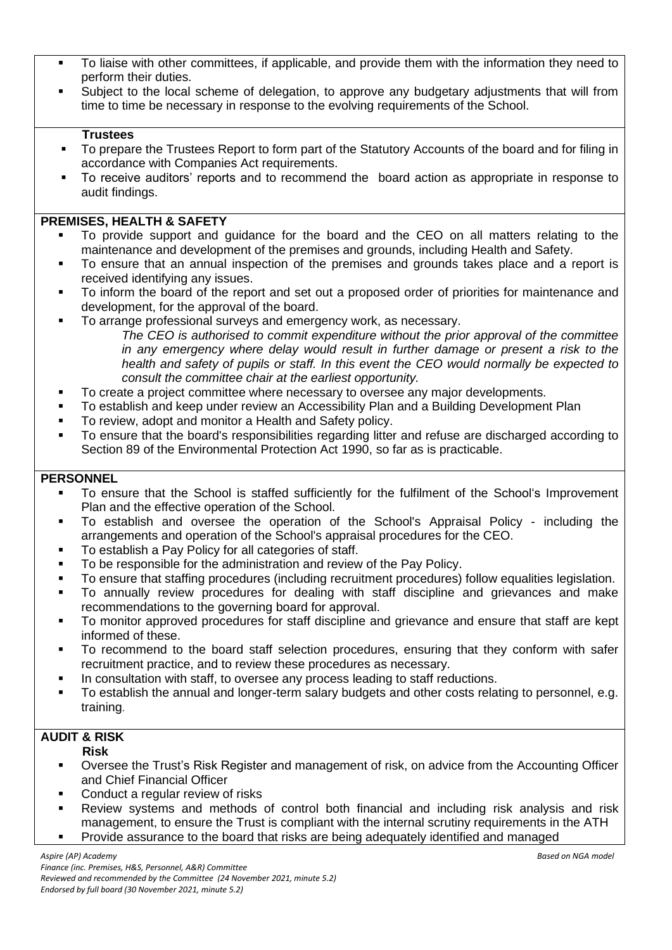- To liaise with other committees, if applicable, and provide them with the information they need to perform their duties.
- Subject to the local scheme of delegation, to approve any budgetary adjustments that will from time to time be necessary in response to the evolving requirements of the School.

#### **Trustees**

- To prepare the Trustees Report to form part of the Statutory Accounts of the board and for filing in accordance with Companies Act requirements.
- To receive auditors' reports and to recommend the board action as appropriate in response to audit findings.

#### **PREMISES, HEALTH & SAFETY**

- To provide support and guidance for the board and the CEO on all matters relating to the maintenance and development of the premises and grounds, including Health and Safety.
- To ensure that an annual inspection of the premises and grounds takes place and a report is received identifying any issues.
- To inform the board of the report and set out a proposed order of priorities for maintenance and development, for the approval of the board.
- To arrange professional surveys and emergency work, as necessary.
	- *The CEO is authorised to commit expenditure without the prior approval of the committee in any emergency where delay would result in further damage or present a risk to the health and safety of pupils or staff. In this event the CEO would normally be expected to consult the committee chair at the earliest opportunity.*
- To create a project committee where necessary to oversee any major developments.
- To establish and keep under review an Accessibility Plan and a Building Development Plan
- To review, adopt and monitor a Health and Safety policy.
- To ensure that the board's responsibilities regarding litter and refuse are discharged according to Section 89 of the Environmental Protection Act 1990, so far as is practicable.

#### **PERSONNEL**

- To ensure that the School is staffed sufficiently for the fulfilment of the School's Improvement Plan and the effective operation of the School.
- To establish and oversee the operation of the School's Appraisal Policy including the arrangements and operation of the School's appraisal procedures for the CEO.
- To establish a Pay Policy for all categories of staff.
- To be responsible for the administration and review of the Pay Policy.
- To ensure that staffing procedures (including recruitment procedures) follow equalities legislation.
- To annually review procedures for dealing with staff discipline and grievances and make recommendations to the governing board for approval.
- **•** To monitor approved procedures for staff discipline and grievance and ensure that staff are kept informed of these.
- To recommend to the board staff selection procedures, ensuring that they conform with safer recruitment practice, and to review these procedures as necessary.
- In consultation with staff, to oversee any process leading to staff reductions.
- To establish the annual and longer-term salary budgets and other costs relating to personnel, e.g. training.

## **AUDIT & RISK**

#### **Risk**

- Oversee the Trust's Risk Register and management of risk, on advice from the Accounting Officer and Chief Financial Officer
- Conduct a regular review of risks
- Review systems and methods of control both financial and including risk analysis and risk management, to ensure the Trust is compliant with the internal scrutiny requirements in the ATH
- Provide assurance to the board that risks are being adequately identified and managed

*Aspire (AP) Academy Based on NGA model Finance (inc. Premises, H&S, Personnel, A&R) Committee Reviewed and recommended by the Committee (24 November 2021, minute 5.2) Endorsed by full board (30 November 2021, minute 5.2)*